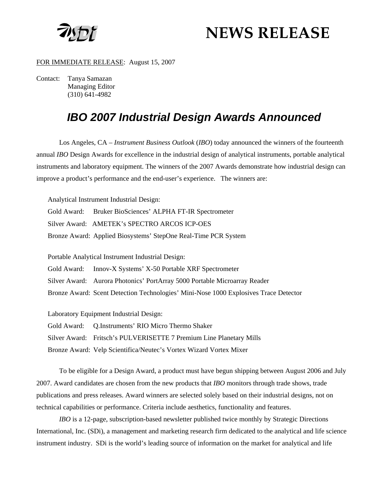

# **NEWS RELEASE**

#### FOR IMMEDIATE RELEASE: August 15, 2007

Contact: Tanya Samazan Managing Editor (310) 641-4982

# *IBO 2007 Industrial Design Awards Announced*

Los Angeles, CA – *Instrument Business Outlook* (*IBO*) today announced the winners of the fourteenth annual *IBO* Design Awards for excellence in the industrial design of analytical instruments, portable analytical instruments and laboratory equipment. The winners of the 2007 Awards demonstrate how industrial design can improve a product's performance and the end-user's experience. The winners are:

Analytical Instrument Industrial Design: Gold Award: Bruker BioSciences' ALPHA FT-IR Spectrometer Silver Award: AMETEK's SPECTRO ARCOS ICP-OES Bronze Award: Applied Biosystems' StepOne Real-Time PCR System

Portable Analytical Instrument Industrial Design:

Gold Award: Innov-X Systems' X-50 Portable XRF Spectrometer

Silver Award: Aurora Photonics' PortArray 5000 Portable Microarray Reader

Bronze Award: Scent Detection Technologies' Mini-Nose 1000 Explosives Trace Detector

Laboratory Equipment Industrial Design:

Gold Award: Q.Instruments' RIO Micro Thermo Shaker

Silver Award: Fritsch's PULVERISETTE 7 Premium Line Planetary Mills

Bronze Award: Velp Scientifica/Neutec's Vortex Wizard Vortex Mixer

To be eligible for a Design Award, a product must have begun shipping between August 2006 and July 2007. Award candidates are chosen from the new products that *IBO* monitors through trade shows, trade publications and press releases. Award winners are selected solely based on their industrial designs, not on technical capabilities or performance. Criteria include aesthetics, functionality and features.

*IBO* is a 12-page, subscription-based newsletter published twice monthly by Strategic Directions International, Inc. (SDi), a management and marketing research firm dedicated to the analytical and life science instrument industry. SDi is the world's leading source of information on the market for analytical and life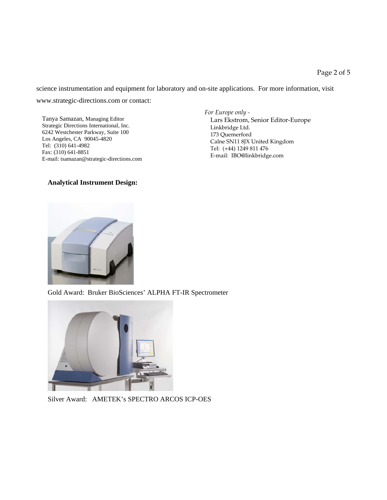science instrumentation and equipment for laboratory and on-site applications. For more information, visit [www.strategic-directions.com](http://www.strategic-directions.com/) or contact:

 Tanya Samazan, Managing Editor Strategic Directions International, Inc. 6242 Westchester Parkway, Suite 100 Los Angeles, CA 90045-4820 Tel: (310) 641-4982 Fax: (310) 641-8851 E-mail: [tsamazan@strategic-directions.com](mailto:tsamazan@strategic-directions.com)

#### **Analytical Instrument Design:**

*For Europe only -* Lars Ekstrom, Senior Editor-Europe Linkbridge Ltd. 173 Quemerford Calne SN11 8JX United Kingdom Tel: (+44) 1249 811 476 E-mail: [IBO@linkbridge.com](mailto:IBO@linkbridge.com)



Gold Award: Bruker BioSciences' ALPHA FT-IR Spectrometer



Silver Award: AMETEK's SPECTRO ARCOS ICP-OES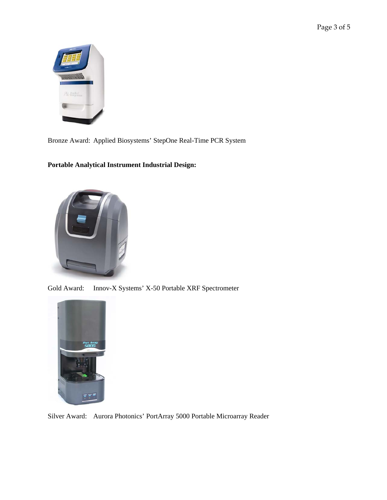Page 3 of 5



Bronze Award: Applied Biosystems' StepOne Real-Time PCR System

## **Portable Analytical Instrument Industrial Design:**



Gold Award: Innov-X Systems' X-50 Portable XRF Spectrometer



Silver Award: Aurora Photonics' PortArray 5000 Portable Microarray Reader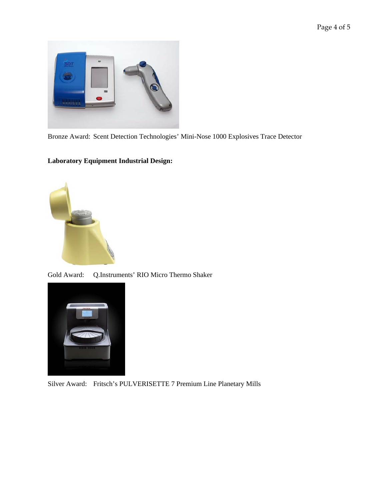

Bronze Award: Scent Detection Technologies' Mini-Nose 1000 Explosives Trace Detector

### **Laboratory Equipment Industrial Design:**



Gold Award: Q.Instruments' RIO Micro Thermo Shaker



Silver Award: Fritsch's PULVERISETTE 7 Premium Line Planetary Mills